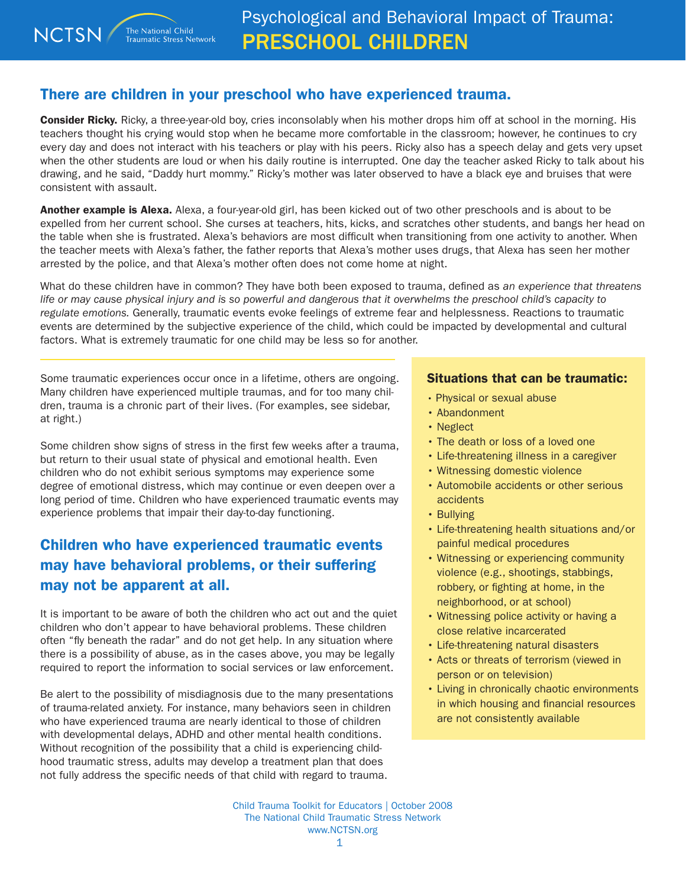## There are children in your preschool who have experienced trauma.

**Consider Ricky.** Ricky, a three-year-old boy, cries inconsolably when his mother drops him off at school in the morning. His teachers thought his crying would stop when he became more comfortable in the classroom; however, he continues to cry every day and does not interact with his teachers or play with his peers. Ricky also has a speech delay and gets very upset when the other students are loud or when his daily routine is interrupted. One day the teacher asked Ricky to talk about his drawing, and he said, "Daddy hurt mommy." Ricky's mother was later observed to have a black eye and bruises that were consistent with assault.

Another example is Alexa. Alexa, a four-year-old girl, has been kicked out of two other preschools and is about to be expelled from her current school. She curses at teachers, hits, kicks, and scratches other students, and bangs her head on the table when she is frustrated. Alexa's behaviors are most difficult when transitioning from one activity to another. When the teacher meets with Alexa's father, the father reports that Alexa's mother uses drugs, that Alexa has seen her mother arrested by the police, and that Alexa's mother often does not come home at night.

What do these children have in common? They have both been exposed to trauma, defined as *an experience that threatens life or may cause physical injury and is so powerful and dangerous that it overwhelms the preschool child's capacity to regulate emotions.* Generally, traumatic events evoke feelings of extreme fear and helplessness. Reactions to traumatic events are determined by the subjective experience of the child, which could be impacted by developmental and cultural factors. What is extremely traumatic for one child may be less so for another.

Some traumatic experiences occur once in a lifetime, others are ongoing. Many children have experienced multiple traumas, and for too many children, trauma is a chronic part of their lives. (For examples, see sidebar, at right.)

Some children show signs of stress in the first few weeks after a trauma, but return to their usual state of physical and emotional health. Even children who do not exhibit serious symptoms may experience some degree of emotional distress, which may continue or even deepen over a long period of time. Children who have experienced traumatic events may experience problems that impair their day-to-day functioning.

## Children who have experienced traumatic events may have behavioral problems, or their suffering may not be apparent at all.

It is important to be aware of both the children who act out and the quiet children who don't appear to have behavioral problems. These children often "fly beneath the radar" and do not get help. In any situation where there is a possibility of abuse, as in the cases above, you may be legally required to report the information to social services or law enforcement.

Be alert to the possibility of misdiagnosis due to the many presentations of trauma-related anxiety. For instance, many behaviors seen in children who have experienced trauma are nearly identical to those of children with developmental delays, ADHD and other mental health conditions. Without recognition of the possibility that a child is experiencing childhood traumatic stress, adults may develop a treatment plan that does not fully address the specific needs of that child with regard to trauma.

## Situations that can be traumatic:

- Physical or sexual abuse
- Abandonment
- Neglect
- The death or loss of a loved one
- Life-threatening illness in a caregiver
- Witnessing domestic violence
- Automobile accidents or other serious accidents
- Bullying
- Life-threatening health situations and/or painful medical procedures
- Witnessing or experiencing community violence (e.g., shootings, stabbings, robbery, or fighting at home, in the neighborhood, or at school)
- Witnessing police activity or having a close relative incarcerated
- Life-threatening natural disasters
- Acts or threats of terrorism (viewed in person or on television)
- Living in chronically chaotic environments in which housing and financial resources are not consistently available

Child Trauma Toolkit for Educators | October 2008 The National Child Traumatic Stress Network www.NCTSN.org